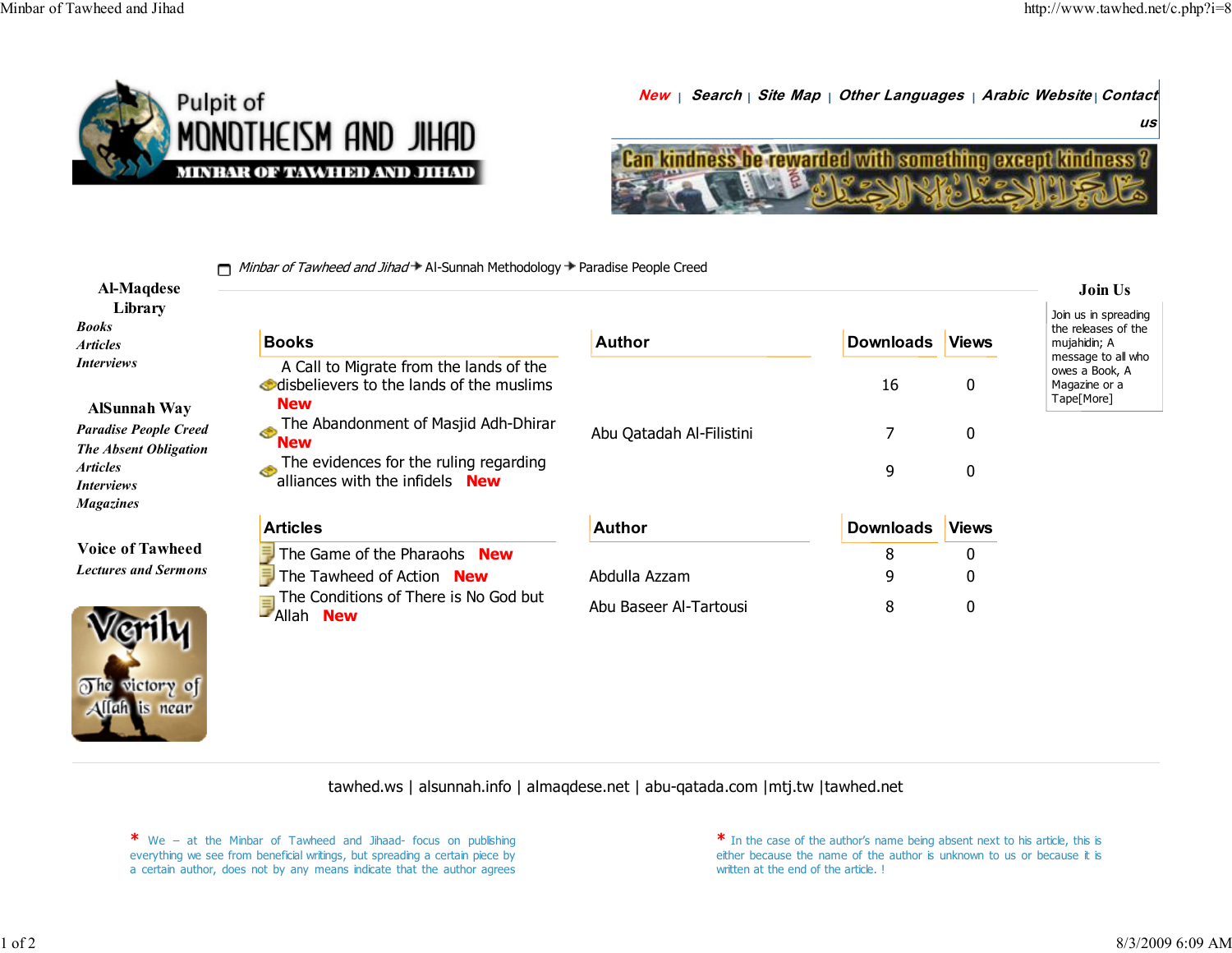

New  $\mid$  Search  $\mid$  Site Map  $\mid$  Other Languages  $\mid$  Arabic Website $\mid$  Contact

us



Minbar of Tawheed and Jihad + Al-Sunnah Methodology + Paradise People Creed

| <b>Al-Magdese</b>                                                                                                                                                    |                                                                                                                                             |                          |                  |              | <b>Join Us</b>                                                                                                                     |
|----------------------------------------------------------------------------------------------------------------------------------------------------------------------|---------------------------------------------------------------------------------------------------------------------------------------------|--------------------------|------------------|--------------|------------------------------------------------------------------------------------------------------------------------------------|
| Library<br><b>Books</b><br><b>Articles</b>                                                                                                                           | <b>Books</b>                                                                                                                                | <b>Author</b>            | <b>Downloads</b> | <b>Views</b> | Join us in spreading<br>the releases of the<br>mujahidin; A<br>message to all who<br>owes a Book, A<br>Magazine or a<br>Tape[More] |
| <i>Interviews</i><br><b>AlSunnah Way</b><br><b>Paradise People Creed</b><br><b>The Absent Obligation</b><br><b>Articles</b><br><i>Interviews</i><br><b>Magazines</b> | A Call to Migrate from the lands of the<br>ighthropology displayers to the lands of the muslims<br><b>New</b>                               | Abu Qatadah Al-Filistini | 16               | 0            |                                                                                                                                    |
|                                                                                                                                                                      | The Abandonment of Masjid Adh-Dhirar<br>৩<br><b>New</b><br>The evidences for the ruling regarding<br>alliances with the infidels <b>New</b> |                          |                  | 0            |                                                                                                                                    |
|                                                                                                                                                                      |                                                                                                                                             |                          | 9                | 0            |                                                                                                                                    |
|                                                                                                                                                                      | <b>Articles</b>                                                                                                                             | <b>Author</b>            | <b>Downloads</b> | <b>Views</b> |                                                                                                                                    |
| <b>Voice of Tawheed</b><br><b>Lectures and Sermons</b>                                                                                                               | The Game of the Pharaohs New                                                                                                                |                          | 8                | 0            |                                                                                                                                    |
|                                                                                                                                                                      | $\blacksquare$ The Tawheed of Action <b>New</b>                                                                                             | Abdulla Azzam            | 9                | 0            |                                                                                                                                    |
|                                                                                                                                                                      | The Conditions of There is No God but<br>Allah<br><b>New</b>                                                                                | Abu Baseer Al-Tartousi   | 8                | 0            |                                                                                                                                    |



\* We – at the Minbar of Tawheed and Jihaad- focus on publishing everything we see from beneficial writings, but spreading a certain piece by a certain author, does not by any means indicate that the author agrees

\* In the case of the author's name being absent next to his article, this is either because the name of the author is unknown to us or because it iswritten at the end of the article. !

1 of 2

The victory of Allah is near